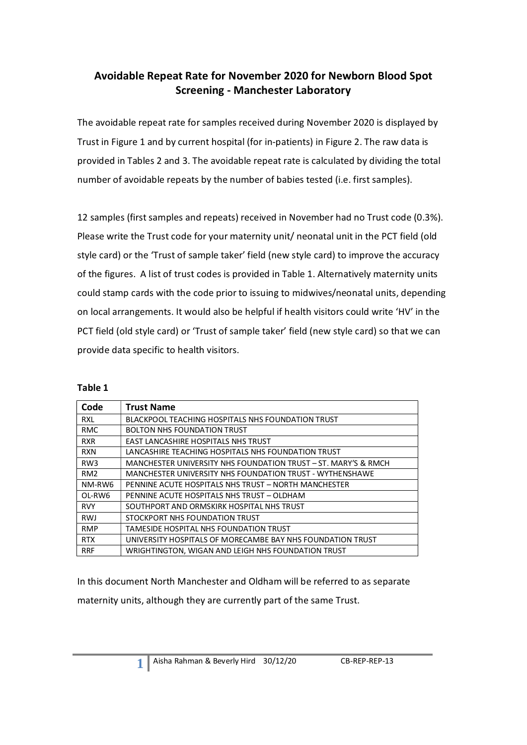# **Avoidable Repeat Rate for November 2020 for Newborn Blood Spot Screening - Manchester Laboratory**

The avoidable repeat rate for samples received during November 2020 is displayed by Trust in Figure 1 and by current hospital (for in-patients) in Figure 2. The raw data is provided in Tables 2 and 3. The avoidable repeat rate is calculated by dividing the total number of avoidable repeats by the number of babies tested (i.e. first samples).

12 samples (first samples and repeats) received in November had no Trust code (0.3%). Please write the Trust code for your maternity unit/ neonatal unit in the PCT field (old style card) or the 'Trust of sample taker' field (new style card) to improve the accuracy of the figures. A list of trust codes is provided in Table 1. Alternatively maternity units could stamp cards with the code prior to issuing to midwives/neonatal units, depending on local arrangements. It would also be helpful if health visitors could write 'HV' in the PCT field (old style card) or 'Trust of sample taker' field (new style card) so that we can provide data specific to health visitors.

| abl |  |
|-----|--|
|-----|--|

| Code            | <b>Trust Name</b>                                              |
|-----------------|----------------------------------------------------------------|
| <b>RXL</b>      | <b>BLACKPOOL TEACHING HOSPITALS NHS FOUNDATION TRUST</b>       |
| <b>RMC</b>      | <b>BOLTON NHS FOUNDATION TRUST</b>                             |
| <b>RXR</b>      | <b>EAST LANCASHIRE HOSPITALS NHS TRUST</b>                     |
| <b>RXN</b>      | LANCASHIRE TEACHING HOSPITALS NHS FOUNDATION TRUST             |
| RW <sub>3</sub> | MANCHESTER UNIVERSITY NHS FOUNDATION TRUST - ST. MARY'S & RMCH |
| RM <sub>2</sub> | MANCHESTER UNIVERSITY NHS FOUNDATION TRUST - WYTHENSHAWE       |
| NM-RW6          | PENNINE ACUTE HOSPITALS NHS TRUST - NORTH MANCHESTER           |
| OL-RW6          | PENNINE ACUTE HOSPITALS NHS TRUST - OLDHAM                     |
| <b>RVY</b>      | SOUTHPORT AND ORMSKIRK HOSPITAL NHS TRUST                      |
| <b>RWJ</b>      | STOCKPORT NHS FOUNDATION TRUST                                 |
| <b>RMP</b>      | TAMESIDE HOSPITAL NHS FOUNDATION TRUST                         |
| <b>RTX</b>      | UNIVERSITY HOSPITALS OF MORECAMBE BAY NHS FOUNDATION TRUST     |
| <b>RRF</b>      | WRIGHTINGTON, WIGAN AND LEIGH NHS FOUNDATION TRUST             |

In this document North Manchester and Oldham will be referred to as separate maternity units, although they are currently part of the same Trust.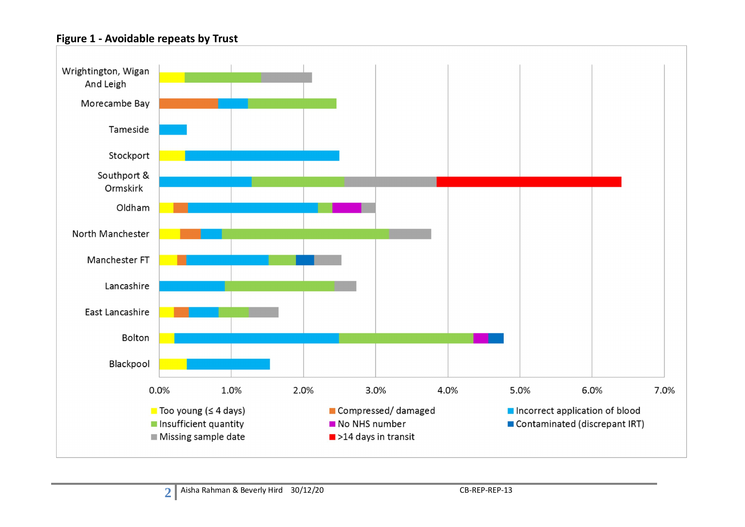#### **Figure 1 - Avoidable repeats by Trust**

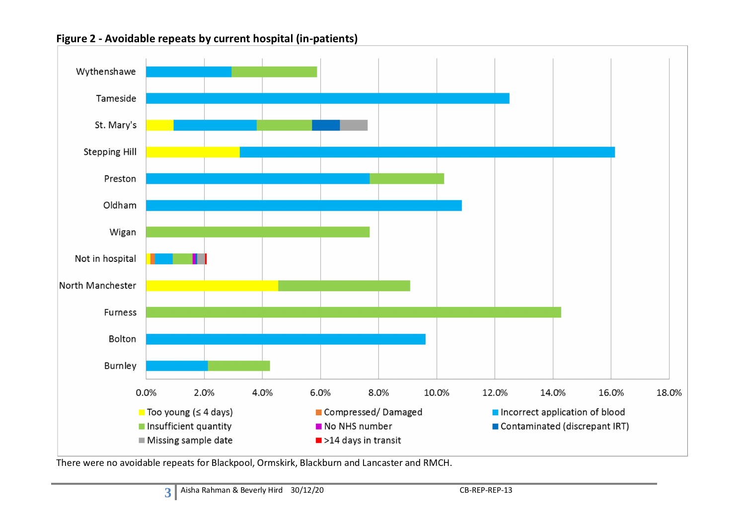

Figure 2 - Avoidable repeats by current hospital (in-patients)

There were no avoidable repeats for Blackpool, Ormskirk, Blackburn and Lancaster and RMCH.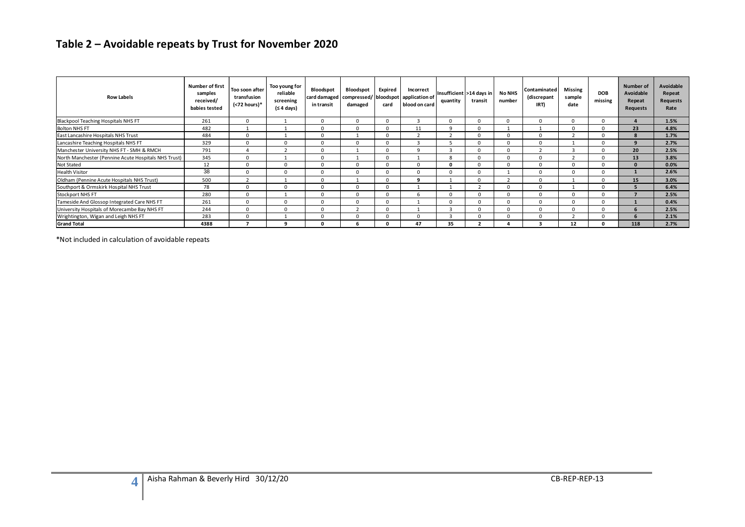# Table 2 – Avoidable repeats by Trust for November 2020

| <b>Row Labels</b>                                    | <b>Number of first</b><br>samples<br>received/<br>babies tested | Too soon after<br>transfusion<br>$(72 hours)*$ | Too young for<br>reliable<br>screening<br>(≤ 4 days) | Bloodspot<br>card damaged<br>in transit | Bloodspot<br>damaged | Expired<br>card | Incorrect<br>compressed/ bloodspot application of<br>blood on card | quantity                | Insufficient >14 days in<br>transit | <b>No NHS</b><br>number | Contaminated<br>(discrepant<br>IRT) | <b>Missing</b><br>sample<br>date | <b>DOB</b><br>missing | <b>Number of</b><br>Avoidable<br>Repeat<br><b>Requests</b> | Avoidable<br>Repeat<br>Requests<br>Rate |
|------------------------------------------------------|-----------------------------------------------------------------|------------------------------------------------|------------------------------------------------------|-----------------------------------------|----------------------|-----------------|--------------------------------------------------------------------|-------------------------|-------------------------------------|-------------------------|-------------------------------------|----------------------------------|-----------------------|------------------------------------------------------------|-----------------------------------------|
| <b>Blackpool Teaching Hospitals NHS FT</b>           | 261                                                             | $\Omega$                                       |                                                      |                                         |                      | $\Omega$        |                                                                    |                         |                                     |                         | $\Omega$                            | $\Omega$                         |                       |                                                            | 1.5%                                    |
| <b>Bolton NHS FT</b>                                 | 482                                                             |                                                |                                                      |                                         |                      | $\Omega$        | 11                                                                 |                         |                                     |                         |                                     |                                  |                       | 23                                                         | 4.8%                                    |
| East Lancashire Hospitals NHS Trust                  | 484                                                             |                                                |                                                      |                                         |                      | $\Omega$        |                                                                    |                         |                                     |                         |                                     |                                  |                       |                                                            | 1.7%                                    |
| Lancashire Teaching Hospitals NHS FT                 | 329                                                             | $\Omega$                                       | $\Omega$                                             |                                         |                      | $\Omega$        |                                                                    |                         |                                     |                         |                                     |                                  |                       |                                                            | 2.7%                                    |
| Manchester University NHS FT - SMH & RMCH            | 791                                                             |                                                |                                                      |                                         |                      | $\Omega$        | $\Omega$                                                           |                         |                                     |                         | n,                                  |                                  |                       | 20                                                         | 2.5%                                    |
| North Manchester (Pennine Acute Hospitals NHS Trust) | 345                                                             | $\Omega$                                       |                                                      | n                                       |                      | $\Omega$        |                                                                    | $\mathbf{R}$            |                                     |                         | $\Omega$                            |                                  |                       | 13                                                         | 3.8%                                    |
| <b>Not Stated</b>                                    | 12                                                              | $\Omega$                                       | $\Omega$                                             |                                         |                      | $\Omega$        | $\Omega$                                                           |                         |                                     |                         | $\Omega$                            |                                  |                       |                                                            | 0.0%                                    |
| <b>Health Visitor</b>                                | 38                                                              | $\Omega$                                       | $\Omega$                                             |                                         |                      | $\Omega$        | $\Omega$                                                           |                         |                                     |                         | $\Omega$                            |                                  |                       |                                                            | 2.6%                                    |
| Oldham (Pennine Acute Hospitals NHS Trust)           | 500                                                             | $\overline{2}$                                 |                                                      | $\Omega$                                |                      | $\Omega$        | ٩                                                                  |                         |                                     |                         | $\Omega$                            |                                  |                       | 15                                                         | 3.0%                                    |
| Southport & Ormskirk Hospital NHS Trust              | 78                                                              | $\Omega$                                       | $\Omega$                                             |                                         |                      | $\Omega$        |                                                                    |                         |                                     |                         | <sup>0</sup>                        |                                  |                       |                                                            | 6.4%                                    |
| <b>Stockport NHS FT</b>                              | 280                                                             | $\Omega$                                       |                                                      | O                                       |                      | $\Omega$        |                                                                    |                         | $\Omega$                            |                         | $\Omega$                            |                                  |                       |                                                            | 2.5%                                    |
| Tameside And Glossop Integrated Care NHS FT          | 261                                                             |                                                | $\Omega$                                             |                                         |                      | $\Omega$        |                                                                    |                         | $\Omega$                            |                         | $\Omega$                            |                                  |                       |                                                            | 0.4%                                    |
| University Hospitals of Morecambe Bay NHS FT         | 244                                                             | $\Omega$                                       | $\Omega$                                             |                                         |                      | $\Omega$        |                                                                    |                         | $\Omega$                            |                         | $\Omega$                            |                                  |                       |                                                            | 2.5%                                    |
| Wrightington, Wigan and Leigh NHS FT                 | 283                                                             | $\Omega$                                       |                                                      | $\Omega$                                |                      | $\Omega$        | $\Omega$                                                           | $\overline{\mathbf{z}}$ | $\Omega$                            |                         | $\Omega$                            |                                  |                       |                                                            | 2.1%                                    |
| <b>Grand Total</b>                                   | 4388                                                            |                                                |                                                      |                                         |                      |                 | 47                                                                 | 35                      |                                     |                         |                                     | 12                               |                       | 118                                                        | 2.7%                                    |

\*Not included in calculation of avoidable repeats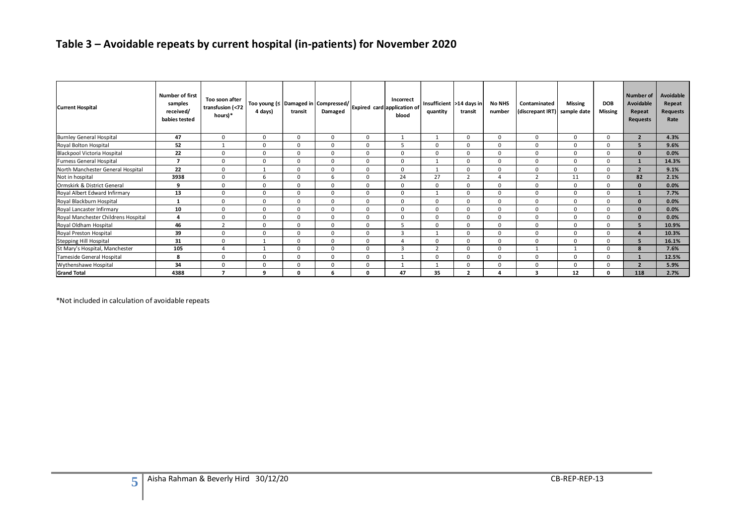# Table 3 – Avoidable repeats by current hospital (in-patients) for November 2020

| <b>Current Hospital</b>             | <b>Number of first</b><br>samples<br>received/<br>babies tested | Too soon after<br>transfusion (<72<br>hours)* | <sub>l</sub> Too young (≤ $\vert$ Damaged in $\vert$ Compressed/ $\vert_{\mathsf{Explicit}}$ card $\vert$ application of $\vert$<br>4 days) | transit      | Damaged     |          | blood        | quantity     | Insufficient >14 days in<br>transit | <b>No NHS</b><br>number | Contaminated<br>(discrepant IRT) sample date | <b>Missing</b> | <b>DOB</b><br><b>Missing</b> | Number of<br>Avoidable<br>Repeat<br><b>Requests</b> | Avoidable<br>Repeat<br><b>Requests</b><br>Rate |
|-------------------------------------|-----------------------------------------------------------------|-----------------------------------------------|---------------------------------------------------------------------------------------------------------------------------------------------|--------------|-------------|----------|--------------|--------------|-------------------------------------|-------------------------|----------------------------------------------|----------------|------------------------------|-----------------------------------------------------|------------------------------------------------|
| <b>Burnley General Hospital</b>     | 47                                                              | $\Omega$                                      | $\Omega$                                                                                                                                    | $\Omega$     | $\Omega$    | $\Omega$ |              |              | <sub>0</sub>                        | $\Omega$                | $\Omega$                                     | $\Omega$       | $\Omega$                     | $\overline{2}$                                      | 4.3%                                           |
| Royal Bolton Hospital               | 52                                                              |                                               | $\mathbf 0$                                                                                                                                 | $\Omega$     | $\Omega$    | $\Omega$ |              | $\Omega$     | <sup>0</sup>                        | $\Omega$                | $\Omega$                                     | $\Omega$       | $\Omega$                     |                                                     | 9.6%                                           |
| Blackpool Victoria Hospital         | 22                                                              | $\Omega$                                      | $\Omega$                                                                                                                                    | $\Omega$     | $\Omega$    | $\Omega$ | O.           | $\Omega$     | <sup>0</sup>                        | $\Omega$                | $\Omega$                                     | $\Omega$       | $\Omega$                     | $\Omega$                                            | 0.0%                                           |
| <b>Furness General Hospital</b>     | $\overline{ }$                                                  | $\Omega$                                      | $\mathbf{0}$                                                                                                                                | $\Omega$     | $\Omega$    | $\Omega$ | O.           |              | <sup>0</sup>                        | $\Omega$                | $\Omega$                                     | $\Omega$       | $\Omega$                     |                                                     | 14.3%                                          |
| North Manchester General Hospital   | 22                                                              | $\Omega$                                      |                                                                                                                                             | $\Omega$     | $\Omega$    | $\Omega$ | O.           |              | <sup>0</sup>                        | $\Omega$                | $\Omega$                                     | $\Omega$       | $\Omega$                     | $\overline{\phantom{a}}$                            | 9.1%                                           |
| Not in hospital                     | 3938                                                            | $\Omega$                                      | 6                                                                                                                                           | $\mathbf{0}$ | 6           | $\Omega$ | 24           | 27           | $\mathbf{r}$                        |                         | $\overline{2}$                               | 11             | $\Omega$                     | 82                                                  | 2.1%                                           |
| Ormskirk & District General         | 9                                                               | $\Omega$                                      | $\mathbf 0$                                                                                                                                 | $\Omega$     | $\Omega$    | $\Omega$ | <sup>0</sup> | $\Omega$     | O                                   | $\Omega$                | $\Omega$                                     | $\Omega$       | $\Omega$                     | $\Omega$                                            | 0.0%                                           |
| Royal Albert Edward Infirmary       | 13                                                              | $\Omega$                                      | $\mathbf{0}$                                                                                                                                | $\mathbf{0}$ | 0           | $\Omega$ | O.           |              | $\Omega$                            | $\mathbf{0}$            | $\Omega$                                     | $\Omega$       | 0                            |                                                     | 7.7%                                           |
| Royal Blackburn Hospital            | 1                                                               | $\Omega$                                      | $\mathbf 0$                                                                                                                                 | $\Omega$     | $\Omega$    | $\Omega$ | $\Omega$     | $\Omega$     |                                     | $\mathbf{0}$            | $\Omega$                                     | $\Omega$       | $\Omega$                     | $\Omega$                                            | 0.0%                                           |
| Royal Lancaster Infirmary           | 10                                                              | $\Omega$                                      | $\mathbf 0$                                                                                                                                 | $\mathbf 0$  | 0           | $\Omega$ | $\Omega$     | $\Omega$     | $\Omega$                            | $\mathbf 0$             | $\mathbf 0$                                  | $\Omega$       | $\Omega$                     | $\mathbf{0}$                                        | 0.0%                                           |
| Royal Manchester Childrens Hospital | 4                                                               | $\Omega$                                      | $\Omega$                                                                                                                                    | $\Omega$     | $\Omega$    | $\Omega$ | O            | $\Omega$     |                                     | $\Omega$                | $\Omega$                                     | $\Omega$       | 0                            | $\Omega$                                            | 0.0%                                           |
| Royal Oldham Hospital               | 46                                                              | $\mathbf{r}$                                  | $\mathbf 0$                                                                                                                                 | $\mathbf{0}$ | 0           | $\Omega$ | 5            | $\Omega$     | 0                                   | $\mathbf{0}$            | $\mathbf 0$                                  | $\mathbf 0$    | 0                            |                                                     | 10.9%                                          |
| Royal Preston Hospital              | 39                                                              | $\Omega$                                      | $\Omega$                                                                                                                                    | 0            | $\mathbf 0$ | $\Omega$ | 3            |              |                                     | $\Omega$                | $\Omega$                                     | $\Omega$       | $\Omega$                     |                                                     | 10.3%                                          |
| Stepping Hill Hospital              | 31                                                              | $\Omega$                                      |                                                                                                                                             | 0            | 0           | $\Omega$ |              | $\Omega$     | 0                                   | $\mathbf{0}$            | $\Omega$                                     | $\mathbf 0$    | $\Omega$                     |                                                     | 16.1%                                          |
| St Mary's Hospital, Manchester      | 105                                                             | $\overline{a}$                                |                                                                                                                                             | $\Omega$     | $\mathbf 0$ | $\Omega$ | 3            | $\mathbf{r}$ |                                     | $\mathbf 0$             |                                              |                | $\Omega$                     |                                                     | 7.6%                                           |
| Tameside General Hospital           | 8                                                               | $\Omega$                                      | $\mathbf 0$                                                                                                                                 | 0            | 0           | $\Omega$ |              | $\Omega$     | 0                                   | $\mathbf{0}$            | $\Omega$                                     | $\mathbf 0$    | $\Omega$                     |                                                     | 12.5%                                          |
| <b>Wythenshawe Hospital</b>         | 34                                                              | $\Omega$                                      | $\mathbf 0$                                                                                                                                 | 0            | $\mathbf 0$ | $\Omega$ |              |              | 0                                   | $\Omega$                | $\Omega$                                     | $\Omega$       | 0                            |                                                     | 5.9%                                           |
| <b>Grand Total</b>                  | 4388                                                            | 7                                             | 9                                                                                                                                           | 0            | 6           | $\Omega$ | 47           | 35           | ຳ                                   |                         | 3                                            | 12             | 0                            | 118                                                 | 2.7%                                           |

\*Not included in calculation of avoidable repeats